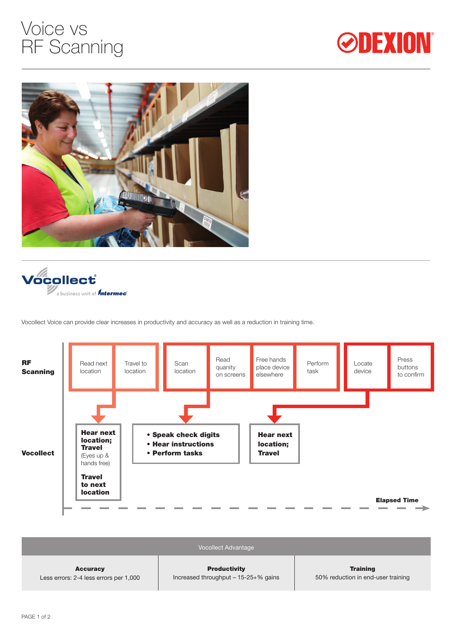# Voice vs RF Scanning







Vocollect Voice can provide clear increases in productivity and accuracy as well as a reduction in training time.



|                                        | <b>Vocollect Advantage</b>            |                                    |
|----------------------------------------|---------------------------------------|------------------------------------|
| <b>Accuracy</b>                        | <b>Productivity</b>                   | <b>Training</b>                    |
| Less errors: 2-4 less errors per 1,000 | Increased throughput $-15-25+%$ gains | 50% reduction in end-user training |